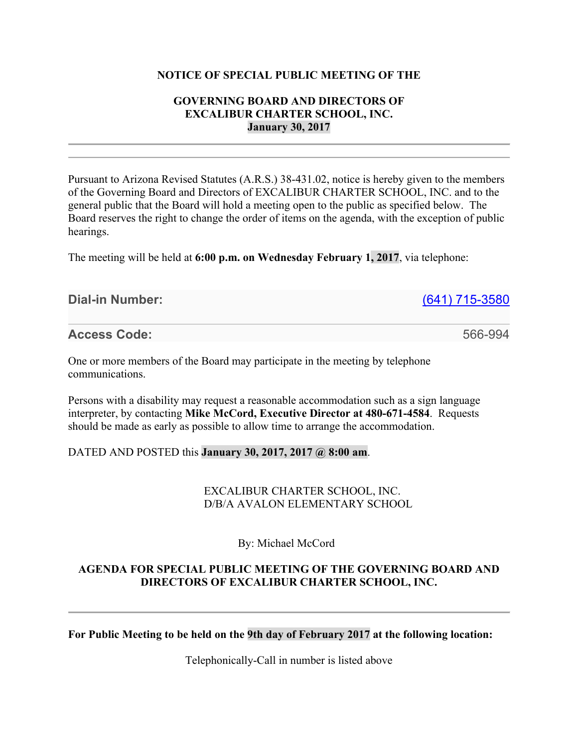#### **NOTICE OF SPECIAL PUBLIC MEETING OF THE**

### **GOVERNING BOARD AND DIRECTORS OF EXCALIBUR CHARTER SCHOOL, INC. January 30, 2017**

Pursuant to Arizona Revised Statutes (A.R.S.) 38-431.02, notice is hereby given to the members of the Governing Board and Directors of EXCALIBUR CHARTER SCHOOL, INC. and to the general public that the Board will hold a meeting open to the public as specified below. The Board reserves the right to change the order of items on the agenda, with the exception of public hearings.

The meeting will be held at **6:00 p.m. on Wednesday February 1, 2017**, via telephone:

### **Dial-in Number:** (641) 715-3580

**Access Code:** 566-994

One or more members of the Board may participate in the meeting by telephone communications.

Persons with a disability may request a reasonable accommodation such as a sign language interpreter, by contacting **Mike McCord, Executive Director at 480-671-4584**. Requests should be made as early as possible to allow time to arrange the accommodation.

# DATED AND POSTED this **January 30, 2017, 2017 @ 8:00 am**.

### EXCALIBUR CHARTER SCHOOL, INC. D/B/A AVALON ELEMENTARY SCHOOL

By: Michael McCord

# **AGENDA FOR SPECIAL PUBLIC MEETING OF THE GOVERNING BOARD AND DIRECTORS OF EXCALIBUR CHARTER SCHOOL, INC.**

**For Public Meeting to be held on the 9th day of February 2017 at the following location:**

Telephonically-Call in number is listed above